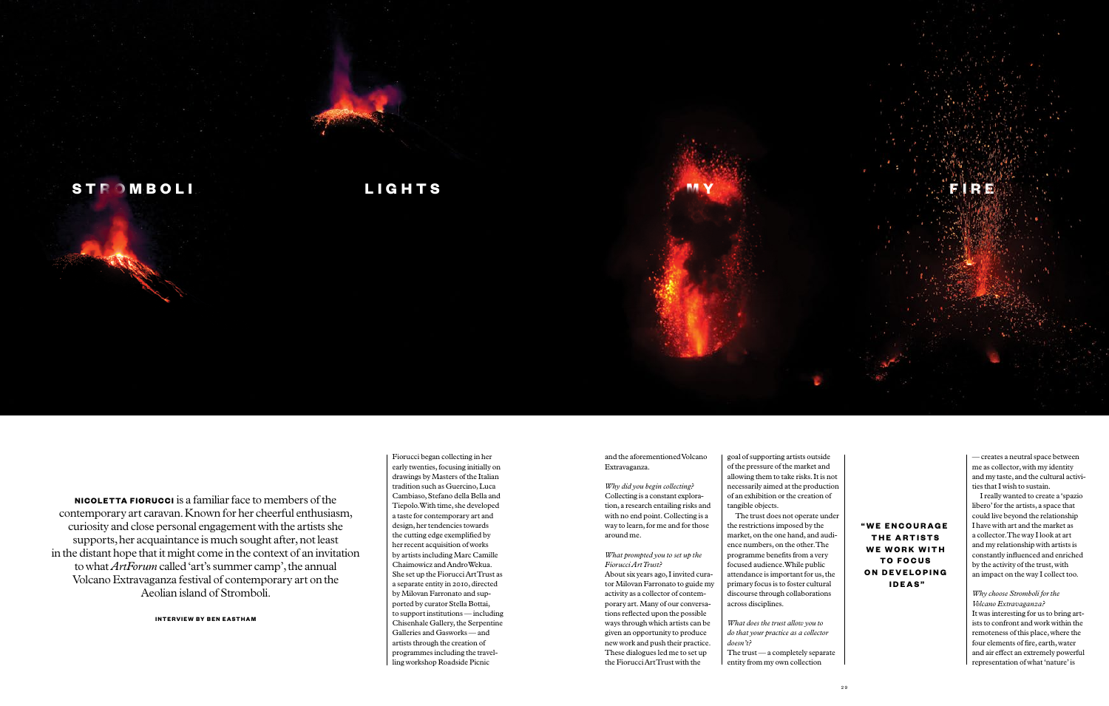Fiorucci began collecting in her early twenties, focusing initially on drawings by Masters of the Italian tradition such as Guercino, Luca Cambiaso, Stefano della Bella and Tiepolo. With time, she developed a taste for contemporary art and design, her tendencies towards the cutting edge exemplified by her recent acquisition of works by artists including Marc Camille Chaimowicz and Andro Wekua. She set up the Fiorucci Art Trust as a separate entity in 2010, directed by Milovan Farronato and supported by curator Stella Bottai, to support institutions — including Chisenhale Gallery, the Serpentine Galleries and Gasworks — and artists through the creation of programmes including the travelling workshop Roadside Picnic

and the aforementioned Volcano Extravaganza.

*Why did you begin collecting?*  Collecting is a constant exploration, a research entailing risks and with no end point. Collecting is a way to learn, for me and for those around me.

*What prompted you to set up the Fiorucci Art Trust?* About six years ago, I invited curator Milovan Farronato to guide my activity as a collector of contemporary art. Many of our conversations reflected upon the possible ways through which artists can be given an opportunity to produce new work and push their practice. These dialogues led me to set up the Fiorucci Art Trust with the

goal of supporting artists outside of the pressure of the market and allowing them to take risks. It is not necessarily aimed at the production of an exhibition or the creation of tangible objects. The trust does not operate under

the restrictions imposed by the market, on the one hand, and audience numbers, on the other. The programme benefits from a very focused audience. While public attendance is important for us, the primary focus is to foster cultural discourse through collaborations across disciplines.

*What does the trust allow you to do that your practice as a collector doesn't?*

The trust — a completely separate entity from my own collection

— creates a neutral space between me as collector, with my identity and my taste, and the cultural activities that I wish to sustain.

I really wanted to create a 'spazio libero' for the artists, a space that could live beyond the relationship I have with art and the market as a collector. The way I look at art and my relationship with artists is constantly influenced and enriched by the activity of the trust, with an impact on the way I collect too.

## *Why choose Stromboli for the Volcano Extravaganza?*

It was interesting for us to bring artists to confront and work within the remoteness of this place, where the four elements of fire, earth, water and air effect an extremely powerful representation of what 'nature' is

**" W e e n c o u r a g e THE ARTISTS we work with t o f o c u s ON DEVELOPING ideas"**



**Nicoletta Fiorucci** is a familiar face to members of the contemporary art caravan. Known for her cheerful enthusiasm, curiosity and close personal engagement with the artists she supports, her acquaintance is much sought after, not least in the distant hope that it might come in the context of an invitation to what *ArtForum* called 'art's summer camp', the annual Volcano Extravaganza festival of contemporary art on the Aeolian island of Stromboli.

**Interview by Ben Eastham**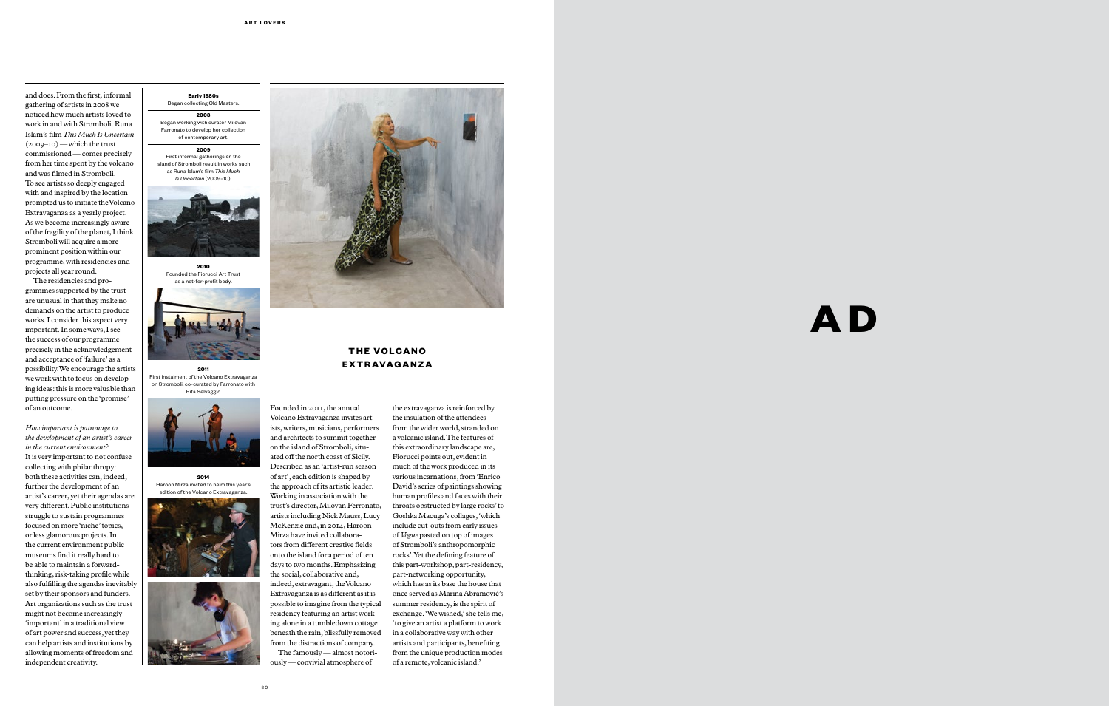and does. From the first, informal gathering of artists in 2008 we noticed how much artists loved to work in and with Stromboli. Runa Islam's film *This Much Is Uncertain* (2009–10) — which the trust commissioned — comes precisely from her time spent by the volcano and was filmed in Stromboli. To see artists so deeply engaged with and inspired by the location prompted us to initiate the Volcano Extravaganza as a yearly project. As we become increasingly aware of the fragility of the planet, I think Stromboli will acquire a more prominent position within our programme, with residencies and projects all year round.

The residencies and pro grammes supported by the trust are unusual in that they make no demands on the artist to produce works. I consider this aspect very important. In some ways, I see the success of our programme precisely in the acknowledgement and acceptance of 'failure' as a possibility. We encourage the artists we work with to focus on develop ing ideas: this is more valuable than putting pressure on the 'promise' of an outcome.

*How important is patronage to the development of an artist's career in the current environment?*  It is very important to not confuse collecting with philanthropy: both these activities can, indeed, further the development of an artist's career, yet their agendas are very different. Public institutions struggle to sustain programmes focused on more 'niche' topics, or less glamorous projects. In the current environment public museums find it really hard to be able to maintain a forwardthinking, risk-taking profile while also fulfilling the agendas inevitably set by their sponsors and funders. Art organizations such as the trust might not become increasingly 'important' in a traditional view of art power and success, yet they can help artists and institutions by allowing moments of freedom and independent creativity.

### **Early 1980s** Began collecting Old Masters.

**2008** Began working with curator Milovan Farronato to develop her collection of contemporary art.

# **2009**

First informal gatherings on the island of Stromboli result in works such as Runa Islam's film *This Much Is Uncertain* (2009–10).



# **THE VOLCANO Ex t r ava g a n z a**





**2011** First instalment of the Volcano Extravaganza on Stromboli, co-curated by Farronato with Rita Selvaggio











Founded in 2011, the annual Volcano Extravaganza invites art ists, writers, musicians, performers and architects to summit together on the island of Stromboli, situ ated off the north coast of Sicily. Described as an 'artist-run season of art', each edition is shaped by the approach of its artistic leader. Working in association with the trust's director, Milovan Ferronato, artists including Nick Mauss, Lucy McKenzie and, in 2014, Haroon Mirza have invited collabora tors from different creative fields onto the island for a period of ten days to two months. Emphasizing the social, collaborative and, indeed, extravagant, the Volcano Extravaganza is as different as it is possible to imagine from the typical residency featuring an artist work ing alone in a tumbledown cottage beneath the rain, blissfully removed from the distractions of company. The famously - almost notoriously — convivial atmosphere of

the extravaganza is reinforced by the insulation of the attendees from the wider world, stranded on a volcanic island. The features of this extraordinary landscape are, Fiorucci points out, evident in much of the work produced in its various incarnations, from 'Enrico David's series of paintings showing human profiles and faces with their throats obstructed by large rocks' to Goshka Macuga's collages, 'which include cut-outs from early issues of *Vogue* pasted on top of images of Stromboli's anthropomorphic rocks'. Yet the defining feature of this part-workshop, part-residency, part-networking opportunity, which has as its base the house that once served as Marina Abramović's summer residency, is the spirit of exchange. 'We wished,' she tells me, 'to give an artist a platform to work in a collaborative way with other artists and participants, benefiting from the unique production modes of a remote, volcanic island.'